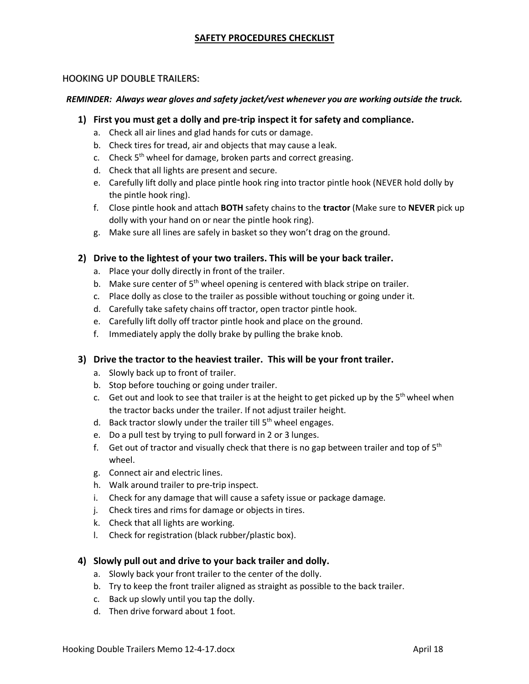## **SAFETY PROCEDURES CHECKLIST**

### HOOKING UP DOUBLE TRAILERS:

#### *REMINDER: Always wear gloves and safety jacket/vest whenever you are working outside the truck.*

- **1) First you must get a dolly and pre-trip inspect it for safety and compliance.**
	- a. Check all air lines and glad hands for cuts or damage.
	- b. Check tires for tread, air and objects that may cause a leak.
	- c. Check  $5<sup>th</sup>$  wheel for damage, broken parts and correct greasing.
	- d. Check that all lights are present and secure.
	- e. Carefully lift dolly and place pintle hook ring into tractor pintle hook (NEVER hold dolly by the pintle hook ring).
	- f. Close pintle hook and attach **BOTH** safety chains to the **tractor** (Make sure to **NEVER** pick up dolly with your hand on or near the pintle hook ring).
	- g. Make sure all lines are safely in basket so they won't drag on the ground.

### **2) Drive to the lightest of your two trailers. This will be your back trailer.**

- a. Place your dolly directly in front of the trailer.
- b. Make sure center of  $5<sup>th</sup>$  wheel opening is centered with black stripe on trailer.
- c. Place dolly as close to the trailer as possible without touching or going under it.
- d. Carefully take safety chains off tractor, open tractor pintle hook.
- e. Carefully lift dolly off tractor pintle hook and place on the ground.
- f. Immediately apply the dolly brake by pulling the brake knob.

### **3) Drive the tractor to the heaviest trailer. This will be your front trailer.**

- a. Slowly back up to front of trailer.
- b. Stop before touching or going under trailer.
- c. Get out and look to see that trailer is at the height to get picked up by the  $5<sup>th</sup>$  wheel when the tractor backs under the trailer. If not adjust trailer height.
- d. Back tractor slowly under the trailer till  $5<sup>th</sup>$  wheel engages.
- e. Do a pull test by trying to pull forward in 2 or 3 lunges.
- f. Get out of tractor and visually check that there is no gap between trailer and top of  $5<sup>th</sup>$ wheel.
- g. Connect air and electric lines.
- h. Walk around trailer to pre-trip inspect.
- i. Check for any damage that will cause a safety issue or package damage.
- j. Check tires and rims for damage or objects in tires.
- k. Check that all lights are working.
- l. Check for registration (black rubber/plastic box).

### **4) Slowly pull out and drive to your back trailer and dolly.**

- a. Slowly back your front trailer to the center of the dolly.
- b. Try to keep the front trailer aligned as straight as possible to the back trailer.
- c. Back up slowly until you tap the dolly.
- d. Then drive forward about 1 foot.